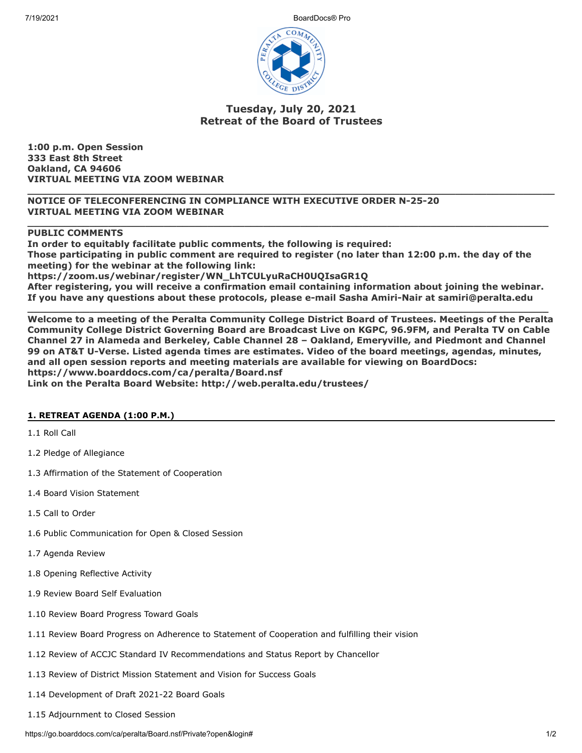7/19/2021 BoardDocs® Pro



# **Tuesday, July 20, 2021 Retreat of the Board of Trustees**

**1:00 p.m. Open Session 333 East 8th Street Oakland, CA 94606 VIRTUAL MEETING VIA ZOOM WEBINAR**

**\_\_\_\_\_\_\_\_\_\_\_\_\_\_\_\_\_\_\_\_\_\_\_\_\_\_\_\_\_\_\_\_\_\_\_\_\_\_\_\_\_\_\_\_\_\_\_\_\_\_\_\_\_\_\_\_\_\_\_\_\_\_\_\_\_\_\_\_\_\_\_\_\_\_\_\_\_\_\_\_\_\_\_\_\_ NOTICE OF TELECONFERENCING IN COMPLIANCE WITH EXECUTIVE ORDER N-25-20 VIRTUAL MEETING VIA ZOOM WEBINAR**

## **PUBLIC COMMENTS**

**In order to equitably facilitate public comments, the following is required: Those participating in public comment are required to register (no later than 12:00 p.m. the day of the meeting) for the webinar at the following link: https://zoom.us/webinar/register/WN\_LhTCULyuRaCH0UQIsaGR1Q After registering, you will receive a confirmation email containing information about joining the webinar. If you have any questions about these protocols, please e-mail Sasha Amiri-Nair at samiri@peralta.edu**

**\_\_\_\_\_\_\_\_\_\_\_\_\_\_\_\_\_\_\_\_\_\_\_\_\_\_\_\_\_\_\_\_\_\_\_\_\_\_\_\_\_\_\_\_\_\_\_\_\_\_\_\_\_\_\_\_\_\_\_\_\_\_\_\_\_\_\_\_\_\_\_\_\_\_\_\_\_\_\_\_\_\_\_\_**

**\_\_\_\_\_\_\_\_\_\_\_\_\_\_\_\_\_\_\_\_\_\_\_\_\_\_\_\_\_\_\_\_\_\_\_\_\_\_\_\_\_\_\_\_\_\_\_\_\_\_\_\_\_\_\_\_\_\_\_\_\_\_\_\_\_\_\_\_\_\_\_\_\_\_\_\_\_\_\_\_\_\_\_\_ Welcome to a meeting of the Peralta Community College District Board of Trustees. Meetings of the Peralta Community College District Governing Board are Broadcast Live on KGPC, 96.9FM, and Peralta TV on Cable Channel 27 in Alameda and Berkeley, Cable Channel 28 – Oakland, Emeryville, and Piedmont and Channel 99 on AT&T U-Verse. Listed agenda times are estimates. Video of the board meetings, agendas, minutes, and all open session reports and meeting materials are available for viewing on BoardDocs: https://www.boarddocs.com/ca/peralta/Board.nsf Link on the Peralta Board Website: http://web.peralta.edu/trustees/**

### **1. RETREAT AGENDA (1:00 P.M.)**

1.1 Roll Call

- 1.2 Pledge of Allegiance
- 1.3 Affirmation of the Statement of Cooperation
- 1.4 Board Vision Statement
- 1.5 Call to Order
- 1.6 Public Communication for Open & Closed Session
- 1.7 Agenda Review
- 1.8 Opening Reflective Activity
- 1.9 Review Board Self Evaluation
- 1.10 Review Board Progress Toward Goals
- 1.11 Review Board Progress on Adherence to Statement of Cooperation and fulfilling their vision
- 1.12 Review of ACCJC Standard IV Recommendations and Status Report by Chancellor
- 1.13 Review of District Mission Statement and Vision for Success Goals
- 1.14 Development of Draft 2021-22 Board Goals
- 1.15 Adjournment to Closed Session